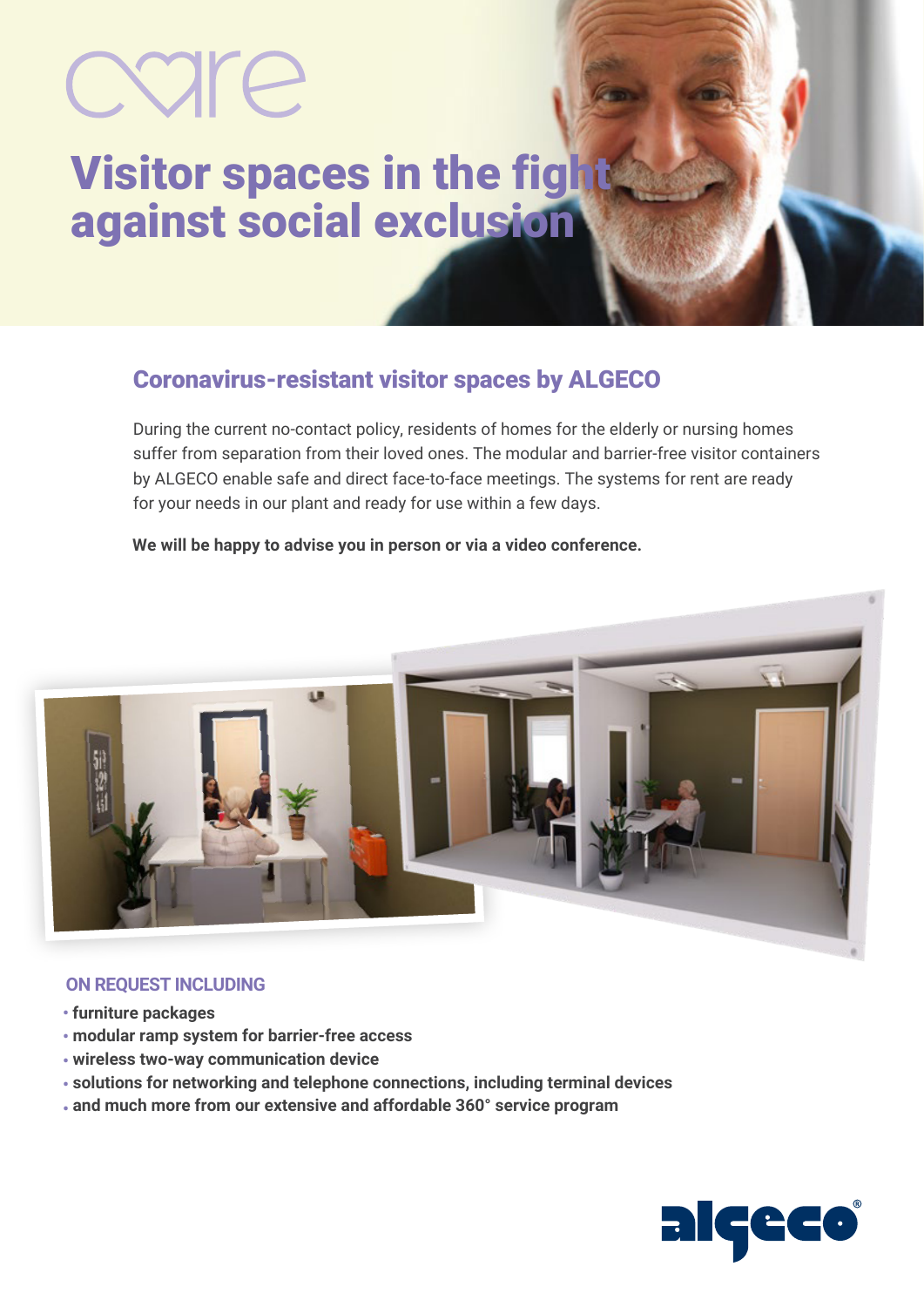# care

### **Visitor spaces in the fight** against social exclusion

#### Coronavirus-resistant visitor spaces by ALGECO

During the current no-contact policy, residents of homes for the elderly or nursing homes suffer from separation from their loved ones. The modular and barrier-free visitor containers by ALGECO enable safe and direct face-to-face meetings. The systems for rent are ready for your needs in our plant and ready for use within a few days.

#### **We will be happy to advise you in person or via a video conference.**



#### **ON REQUEST INCLUDING**

- **• furniture packages**
- **modular ramp system for barrier-free access •**
- **wireless two-way communication device •**
- **solutions for networking and telephone connections, including terminal devices •**
- **and much more from our extensive and affordable 360° service program •**